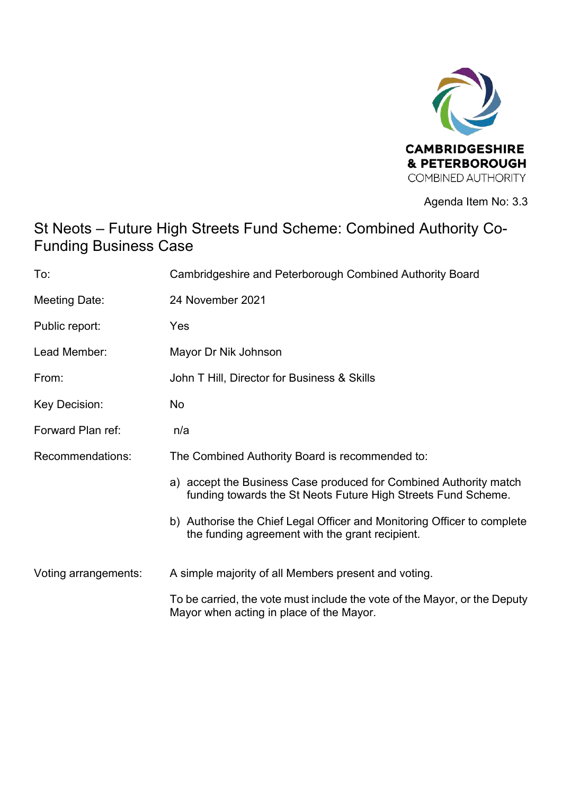

Agenda Item No: 3.3

# St Neots – Future High Streets Fund Scheme: Combined Authority Co-Funding Business Case

| To:                  | Cambridgeshire and Peterborough Combined Authority Board                                                                           |
|----------------------|------------------------------------------------------------------------------------------------------------------------------------|
| Meeting Date:        | 24 November 2021                                                                                                                   |
| Public report:       | Yes                                                                                                                                |
| Lead Member:         | Mayor Dr Nik Johnson                                                                                                               |
| From:                | John T Hill, Director for Business & Skills                                                                                        |
| Key Decision:        | <b>No</b>                                                                                                                          |
| Forward Plan ref:    | n/a                                                                                                                                |
| Recommendations:     | The Combined Authority Board is recommended to:                                                                                    |
|                      | a) accept the Business Case produced for Combined Authority match<br>funding towards the St Neots Future High Streets Fund Scheme. |
|                      | b) Authorise the Chief Legal Officer and Monitoring Officer to complete<br>the funding agreement with the grant recipient.         |
| Voting arrangements: | A simple majority of all Members present and voting.                                                                               |
|                      | To be carried, the vote must include the vote of the Mayor, or the Deputy<br>Mayor when acting in place of the Mayor.              |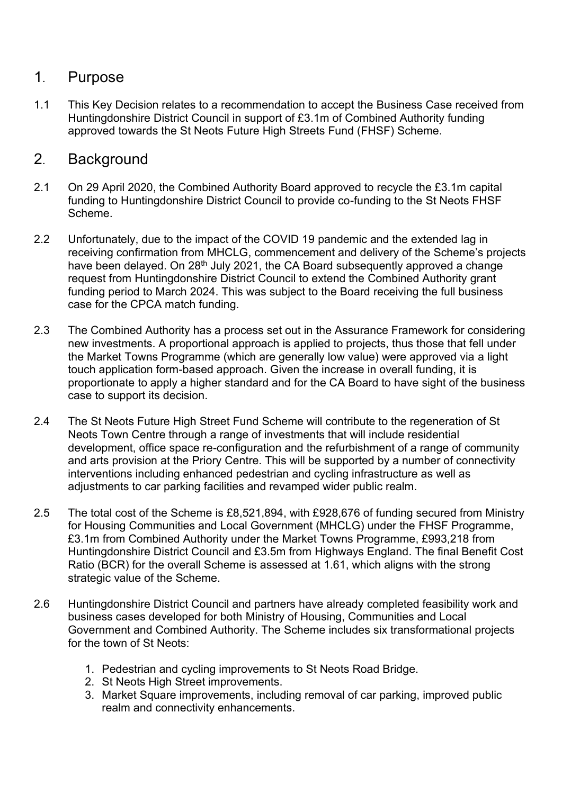### 1. Purpose

1.1 This Key Decision relates to a recommendation to accept the Business Case received from Huntingdonshire District Council in support of £3.1m of Combined Authority funding approved towards the St Neots Future High Streets Fund (FHSF) Scheme.

## 2. Background

- 2.1 On 29 April 2020, the Combined Authority Board approved to recycle the £3.1m capital funding to Huntingdonshire District Council to provide co-funding to the St Neots FHSF Scheme.
- 2.2 Unfortunately, due to the impact of the COVID 19 pandemic and the extended lag in receiving confirmation from MHCLG, commencement and delivery of the Scheme's projects have been delayed. On 28<sup>th</sup> July 2021, the CA Board subsequently approved a change request from Huntingdonshire District Council to extend the Combined Authority grant funding period to March 2024. This was subject to the Board receiving the full business case for the CPCA match funding.
- 2.3 The Combined Authority has a process set out in the Assurance Framework for considering new investments. A proportional approach is applied to projects, thus those that fell under the Market Towns Programme (which are generally low value) were approved via a light touch application form-based approach. Given the increase in overall funding, it is proportionate to apply a higher standard and for the CA Board to have sight of the business case to support its decision.
- 2.4 The St Neots Future High Street Fund Scheme will contribute to the regeneration of St Neots Town Centre through a range of investments that will include residential development, office space re-configuration and the refurbishment of a range of community and arts provision at the Priory Centre. This will be supported by a number of connectivity interventions including enhanced pedestrian and cycling infrastructure as well as adjustments to car parking facilities and revamped wider public realm.
- 2.5 The total cost of the Scheme is £8,521,894, with £928,676 of funding secured from Ministry for Housing Communities and Local Government (MHCLG) under the FHSF Programme, £3.1m from Combined Authority under the Market Towns Programme, £993,218 from Huntingdonshire District Council and £3.5m from Highways England. The final Benefit Cost Ratio (BCR) for the overall Scheme is assessed at 1.61, which aligns with the strong strategic value of the Scheme.
- 2.6 Huntingdonshire District Council and partners have already completed feasibility work and business cases developed for both Ministry of Housing, Communities and Local Government and Combined Authority. The Scheme includes six transformational projects for the town of St Neots:
	- 1. Pedestrian and cycling improvements to St Neots Road Bridge.
	- 2. St Neots High Street improvements.
	- 3. Market Square improvements, including removal of car parking, improved public realm and connectivity enhancements.